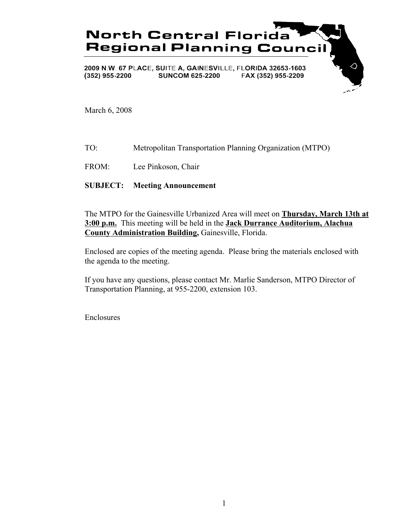

March 6, 2008

- TO: Metropolitan Transportation Planning Organization (MTPO)
- FROM: Lee Pinkoson, Chair

## **SUBJECT: Meeting Announcement**

The MTPO for the Gainesville Urbanized Area will meet on **Thursday, March 13th at 3:00 p.m.** This meeting will be held in the **Jack Durrance Auditorium, Alachua County Administration Building,** Gainesville, Florida.

Enclosed are copies of the meeting agenda. Please bring the materials enclosed with the agenda to the meeting.

If you have any questions, please contact Mr. Marlie Sanderson, MTPO Director of Transportation Planning, at 955-2200, extension 103.

Enclosures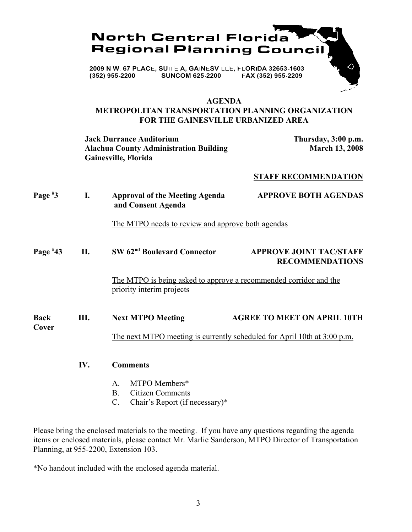

## **AGENDA**

# **METROPOLITAN TRANSPORTATION PLANNING ORGANIZATION FOR THE GAINESVILLE URBANIZED AREA**

**Jack Durrance Auditorium Thursday, 3:00 p.m.** Alachua County Administration Building March 13, 2008 **Gainesville, Florida**

## **STAFF RECOMMENDATION**

| Page $*3$            | I.  | <b>Approval of the Meeting Agenda</b><br>and Consent Agenda                                           | <b>APPROVE BOTH AGENDAS</b>                              |
|----------------------|-----|-------------------------------------------------------------------------------------------------------|----------------------------------------------------------|
|                      |     | <u>The MTPO needs to review and approve both agendas</u>                                              |                                                          |
| Page $*43$           | П.  | SW 62 <sup>nd</sup> Boulevard Connector                                                               | <b>APPROVE JOINT TAC/STAFF</b><br><b>RECOMMENDATIONS</b> |
|                      |     | <u>The MTPO is being asked to approve a recommended corridor and the</u><br>priority interim projects |                                                          |
| <b>Back</b><br>Cover | Ш.  | <b>Next MTPO Meeting</b>                                                                              | <b>AGREE TO MEET ON APRIL 10TH</b>                       |
|                      |     | The next MTPO meeting is currently scheduled for April 10th at 3:00 p.m.                              |                                                          |
|                      | IV. | <b>Comments</b>                                                                                       |                                                          |
|                      |     | MTPO Members*<br>$\mathsf{A}$                                                                         |                                                          |
|                      |     | <b>Citizen Comments</b><br>B.                                                                         |                                                          |

C. Chair's Report (if necessary)\*

Please bring the enclosed materials to the meeting. If you have any questions regarding the agenda items or enclosed materials, please contact Mr. Marlie Sanderson, MTPO Director of Transportation Planning, at 955-2200, Extension 103.

\*No handout included with the enclosed agenda material.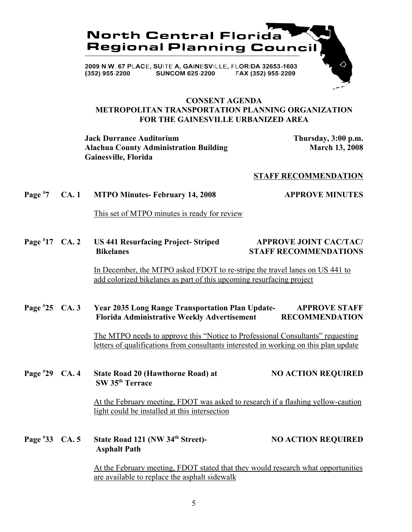

## **CONSENT AGENDA METROPOLITAN TRANSPORTATION PLANNING ORGANIZATION FOR THE GAINESVILLE URBANIZED AREA**

**Jack Durrance Auditorium Thursday, 3:00 p.m.** Alachua County Administration Building March 13, 2008 **Gainesville, Florida**

## **STAFF RECOMMENDATION**

#### **Page # 7 CA. 1 MTPO Minutes- February 14, 2008 APPROVE MINUTES**

This set of MTPO minutes is ready for review

### **Page # 17 US 441 Resurfacing Project- Striped APPROVE JOINT CAC/TAC/ Bikelanes STAFF RECOMMENDATIONS**

In December, the MTPO asked FDOT to re-stripe the travel lanes on US 441 to add colorized bikelanes as part of this upcoming resurfacing project

### Page #25 CA. 3 **2035 Long Range Transportation Plan Update-** APPROVE STAFF  **Florida Administrative Weekly Advertisement RECOMMENDATION**

The MTPO needs to approve this "Notice to Professional Consultants" requesting letters of qualifications from consultants interested in working on this plan update

### **Page # 29 CA. 20 CA. 20 CA. 4 CA. 4 State Road 20 (Hawthorne Road) at NO ACTION REQUIRED SW 35th Terrace**

At the February meeting, FDOT was asked to research if a flashing yellow-caution light could be installed at this intersection

### **Page # 34th Street) 34th Street**)- **NO ACTION REQUIRED Asphalt Path**

At the February meeting, FDOT stated that they would research what opportunities are available to replace the asphalt sidewalk